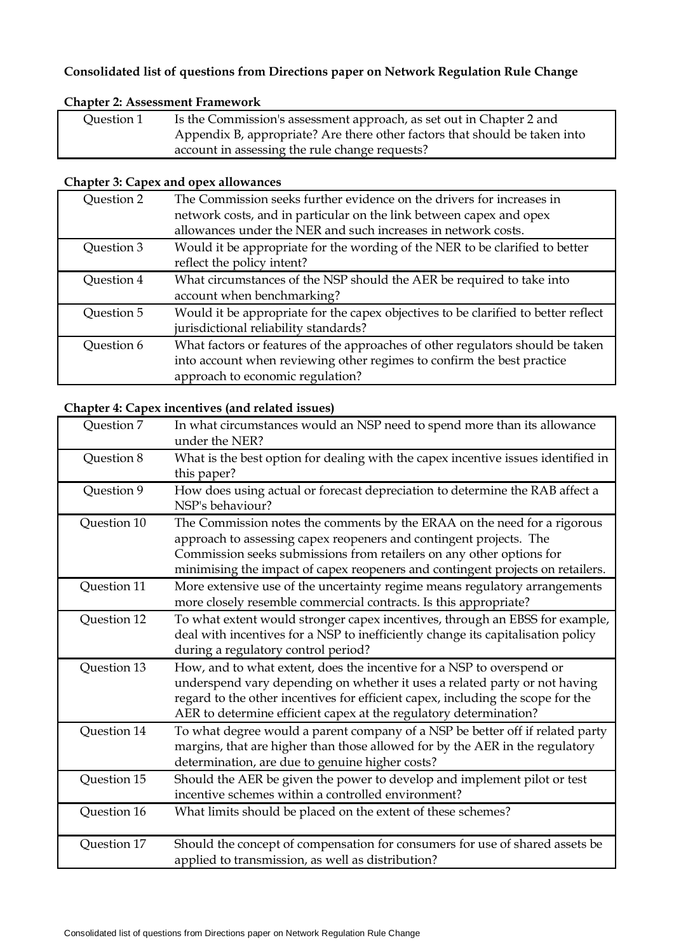## **Consolidated list of questions from Directions paper on Network Regulation Rule Change**

## **Chapter 2: Assessment Framework** Question 1 Is the Commission's assessment approach, as set out in Chapter 2 and Appendix B, appropriate? Are there other factors that should be taken into account in assessing the rule change requests?

#### **Chapter 3: Capex and opex allowances**

| Question 2 | The Commission seeks further evidence on the drivers for increases in<br>network costs, and in particular on the link between capex and opex<br>allowances under the NER and such increases in network costs. |
|------------|---------------------------------------------------------------------------------------------------------------------------------------------------------------------------------------------------------------|
| Question 3 | Would it be appropriate for the wording of the NER to be clarified to better<br>reflect the policy intent?                                                                                                    |
| Question 4 | What circumstances of the NSP should the AER be required to take into<br>account when benchmarking?                                                                                                           |
| Question 5 | Would it be appropriate for the capex objectives to be clarified to better reflect<br>jurisdictional reliability standards?                                                                                   |
| Question 6 | What factors or features of the approaches of other regulators should be taken<br>into account when reviewing other regimes to confirm the best practice<br>approach to economic regulation?                  |

### **Chapter 4: Capex incentives (and related issues)**

| Question 7  | In what circumstances would an NSP need to spend more than its allowance<br>under the NER?                                                                                                                                                                                                                  |
|-------------|-------------------------------------------------------------------------------------------------------------------------------------------------------------------------------------------------------------------------------------------------------------------------------------------------------------|
| Question 8  | What is the best option for dealing with the capex incentive issues identified in<br>this paper?                                                                                                                                                                                                            |
| Question 9  | How does using actual or forecast depreciation to determine the RAB affect a<br>NSP's behaviour?                                                                                                                                                                                                            |
| Question 10 | The Commission notes the comments by the ERAA on the need for a rigorous<br>approach to assessing capex reopeners and contingent projects. The<br>Commission seeks submissions from retailers on any other options for<br>minimising the impact of capex reopeners and contingent projects on retailers.    |
| Question 11 | More extensive use of the uncertainty regime means regulatory arrangements<br>more closely resemble commercial contracts. Is this appropriate?                                                                                                                                                              |
| Question 12 | To what extent would stronger capex incentives, through an EBSS for example,<br>deal with incentives for a NSP to inefficiently change its capitalisation policy<br>during a regulatory control period?                                                                                                     |
| Question 13 | How, and to what extent, does the incentive for a NSP to overspend or<br>underspend vary depending on whether it uses a related party or not having<br>regard to the other incentives for efficient capex, including the scope for the<br>AER to determine efficient capex at the regulatory determination? |
| Question 14 | To what degree would a parent company of a NSP be better off if related party<br>margins, that are higher than those allowed for by the AER in the regulatory<br>determination, are due to genuine higher costs?                                                                                            |
| Question 15 | Should the AER be given the power to develop and implement pilot or test<br>incentive schemes within a controlled environment?                                                                                                                                                                              |
| Question 16 | What limits should be placed on the extent of these schemes?                                                                                                                                                                                                                                                |
| Question 17 | Should the concept of compensation for consumers for use of shared assets be<br>applied to transmission, as well as distribution?                                                                                                                                                                           |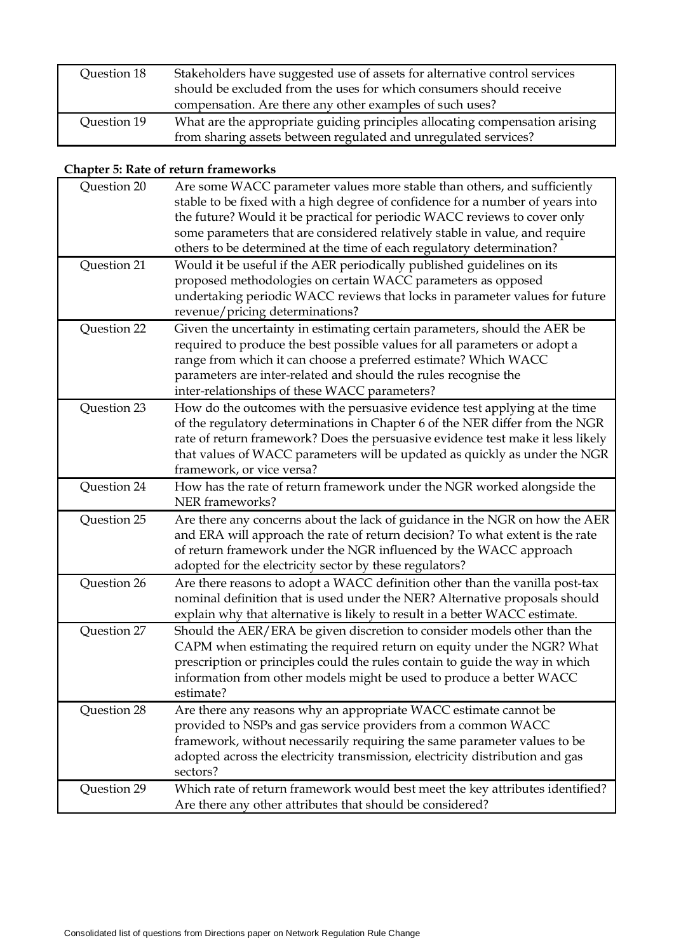| Question 18 | Stakeholders have suggested use of assets for alternative control services<br>should be excluded from the uses for which consumers should receive<br>compensation. Are there any other examples of such uses? |
|-------------|---------------------------------------------------------------------------------------------------------------------------------------------------------------------------------------------------------------|
| Question 19 | What are the appropriate guiding principles allocating compensation arising<br>from sharing assets between regulated and unregulated services?                                                                |

# **Chapter 5: Rate of return frameworks**

| Question 20 | Are some WACC parameter values more stable than others, and sufficiently        |
|-------------|---------------------------------------------------------------------------------|
|             | stable to be fixed with a high degree of confidence for a number of years into  |
|             | the future? Would it be practical for periodic WACC reviews to cover only       |
|             | some parameters that are considered relatively stable in value, and require     |
|             | others to be determined at the time of each regulatory determination?           |
| Question 21 | Would it be useful if the AER periodically published guidelines on its          |
|             | proposed methodologies on certain WACC parameters as opposed                    |
|             | undertaking periodic WACC reviews that locks in parameter values for future     |
|             | revenue/pricing determinations?                                                 |
| Question 22 |                                                                                 |
|             | Given the uncertainty in estimating certain parameters, should the AER be       |
|             | required to produce the best possible values for all parameters or adopt a      |
|             | range from which it can choose a preferred estimate? Which WACC                 |
|             | parameters are inter-related and should the rules recognise the                 |
|             | inter-relationships of these WACC parameters?                                   |
| Question 23 | How do the outcomes with the persuasive evidence test applying at the time      |
|             | of the regulatory determinations in Chapter 6 of the NER differ from the NGR    |
|             | rate of return framework? Does the persuasive evidence test make it less likely |
|             | that values of WACC parameters will be updated as quickly as under the NGR      |
|             | framework, or vice versa?                                                       |
| Question 24 | How has the rate of return framework under the NGR worked alongside the         |
|             | NER frameworks?                                                                 |
| Question 25 | Are there any concerns about the lack of guidance in the NGR on how the AER     |
|             | and ERA will approach the rate of return decision? To what extent is the rate   |
|             | of return framework under the NGR influenced by the WACC approach               |
|             | adopted for the electricity sector by these regulators?                         |
| Question 26 | Are there reasons to adopt a WACC definition other than the vanilla post-tax    |
|             | nominal definition that is used under the NER? Alternative proposals should     |
|             | explain why that alternative is likely to result in a better WACC estimate.     |
|             |                                                                                 |
| Question 27 | Should the AER/ERA be given discretion to consider models other than the        |
|             | CAPM when estimating the required return on equity under the NGR? What          |
|             | prescription or principles could the rules contain to guide the way in which    |
|             | information from other models might be used to produce a better WACC            |
|             | estimate?                                                                       |
| Question 28 | Are there any reasons why an appropriate WACC estimate cannot be                |
|             | provided to NSPs and gas service providers from a common WACC                   |
|             | framework, without necessarily requiring the same parameter values to be        |
|             | adopted across the electricity transmission, electricity distribution and gas   |
|             | sectors?                                                                        |
| Question 29 | Which rate of return framework would best meet the key attributes identified?   |
|             | Are there any other attributes that should be considered?                       |
|             |                                                                                 |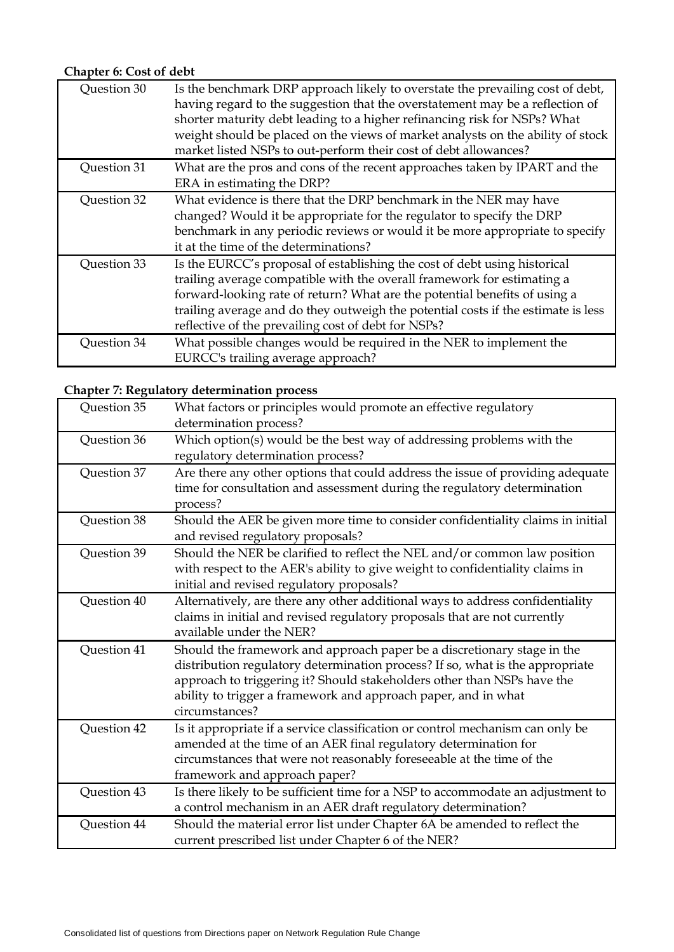## **Chapter 6: Cost of debt**

| Question 30 | Is the benchmark DRP approach likely to overstate the prevailing cost of debt,<br>having regard to the suggestion that the overstatement may be a reflection of<br>shorter maturity debt leading to a higher refinancing risk for NSPs? What<br>weight should be placed on the views of market analysts on the ability of stock<br>market listed NSPs to out-perform their cost of debt allowances? |
|-------------|-----------------------------------------------------------------------------------------------------------------------------------------------------------------------------------------------------------------------------------------------------------------------------------------------------------------------------------------------------------------------------------------------------|
| Question 31 | What are the pros and cons of the recent approaches taken by IPART and the<br>ERA in estimating the DRP?                                                                                                                                                                                                                                                                                            |
| Question 32 | What evidence is there that the DRP benchmark in the NER may have<br>changed? Would it be appropriate for the regulator to specify the DRP<br>benchmark in any periodic reviews or would it be more appropriate to specify<br>it at the time of the determinations?                                                                                                                                 |
| Question 33 | Is the EURCC's proposal of establishing the cost of debt using historical<br>trailing average compatible with the overall framework for estimating a<br>forward-looking rate of return? What are the potential benefits of using a<br>trailing average and do they outweigh the potential costs if the estimate is less<br>reflective of the prevailing cost of debt for NSPs?                      |
| Question 34 | What possible changes would be required in the NER to implement the<br>EURCC's trailing average approach?                                                                                                                                                                                                                                                                                           |

# **Chapter 7: Regulatory determination process**

| Question 35 | What factors or principles would promote an effective regulatory<br>determination process?                                                                                                                                                                                                                              |
|-------------|-------------------------------------------------------------------------------------------------------------------------------------------------------------------------------------------------------------------------------------------------------------------------------------------------------------------------|
| Question 36 | Which option(s) would be the best way of addressing problems with the<br>regulatory determination process?                                                                                                                                                                                                              |
| Question 37 | Are there any other options that could address the issue of providing adequate<br>time for consultation and assessment during the regulatory determination<br>process?                                                                                                                                                  |
| Question 38 | Should the AER be given more time to consider confidentiality claims in initial<br>and revised regulatory proposals?                                                                                                                                                                                                    |
| Question 39 | Should the NER be clarified to reflect the NEL and/or common law position<br>with respect to the AER's ability to give weight to confidentiality claims in<br>initial and revised regulatory proposals?                                                                                                                 |
| Question 40 | Alternatively, are there any other additional ways to address confidentiality<br>claims in initial and revised regulatory proposals that are not currently<br>available under the NER?                                                                                                                                  |
| Question 41 | Should the framework and approach paper be a discretionary stage in the<br>distribution regulatory determination process? If so, what is the appropriate<br>approach to triggering it? Should stakeholders other than NSPs have the<br>ability to trigger a framework and approach paper, and in what<br>circumstances? |
| Question 42 | Is it appropriate if a service classification or control mechanism can only be<br>amended at the time of an AER final regulatory determination for<br>circumstances that were not reasonably foreseeable at the time of the<br>framework and approach paper?                                                            |
| Question 43 | Is there likely to be sufficient time for a NSP to accommodate an adjustment to<br>a control mechanism in an AER draft regulatory determination?                                                                                                                                                                        |
| Question 44 | Should the material error list under Chapter 6A be amended to reflect the<br>current prescribed list under Chapter 6 of the NER?                                                                                                                                                                                        |